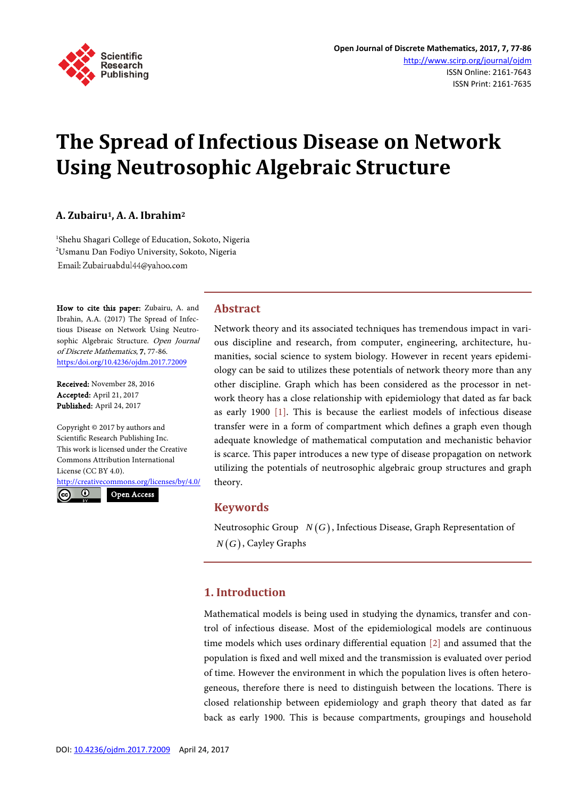

# **The Spread of Infectious Disease on Network Using Neutrosophic Algebraic Structure**

# **A. Zubairu1, A. A. Ibrahim2**

1 Shehu Shagari College of Education, Sokoto, Nigeria 2 Usmanu Dan Fodiyo University, Sokoto, Nigeria Email: Zubairuabdul44@yahoo.com

How to cite this paper: Zubairu, A. and Ibrahin, A.A. (2017) The Spread of Infectious Disease on Network Using Neutrosophic Algebraic Structure. Open Journal of Discrete Mathematics, 7, 77-86. [https:/doi.org/10.4236/ojdm.2017.72009](https://doi.org/10.4236/ojdm.2017.72009)

Received: November 28, 2016 Accepted: April 21, 2017 Published: April 24, 2017

Copyright © 2017 by authors and Scientific Research Publishing Inc. This work is licensed under the Creative Commons Attribution International License (CC BY 4.0).

<http://creativecommons.org/licenses/by/4.0/> Open Access

 $\odot$ 

#### **Abstract**

Network theory and its associated techniques has tremendous impact in various discipline and research, from computer, engineering, architecture, humanities, social science to system biology. However in recent years epidemiology can be said to utilizes these potentials of network theory more than any other discipline. Graph which has been considered as the processor in network theory has a close relationship with epidemiology that dated as far back as early 1900 [\[1\].](#page-9-0) This is because the earliest models of infectious disease transfer were in a form of compartment which defines a graph even though adequate knowledge of mathematical computation and mechanistic behavior is scarce. This paper introduces a new type of disease propagation on network utilizing the potentials of neutrosophic algebraic group structures and graph theory.

# **Keywords**

Neutrosophic Group  $N(G)$ , Infectious Disease, Graph Representation of  $N(G)$ , Cayley Graphs

# **1. Introduction**

Mathematical models is being used in studying the dynamics, transfer and control of infectious disease. Most of the epidemiological models are continuous time models which uses ordinary differential equation [\[2\]](#page-9-1) and assumed that the population is fixed and well mixed and the transmission is evaluated over period of time. However the environment in which the population lives is often heterogeneous, therefore there is need to distinguish between the locations. There is closed relationship between epidemiology and graph theory that dated as far back as early 1900. This is because compartments, groupings and household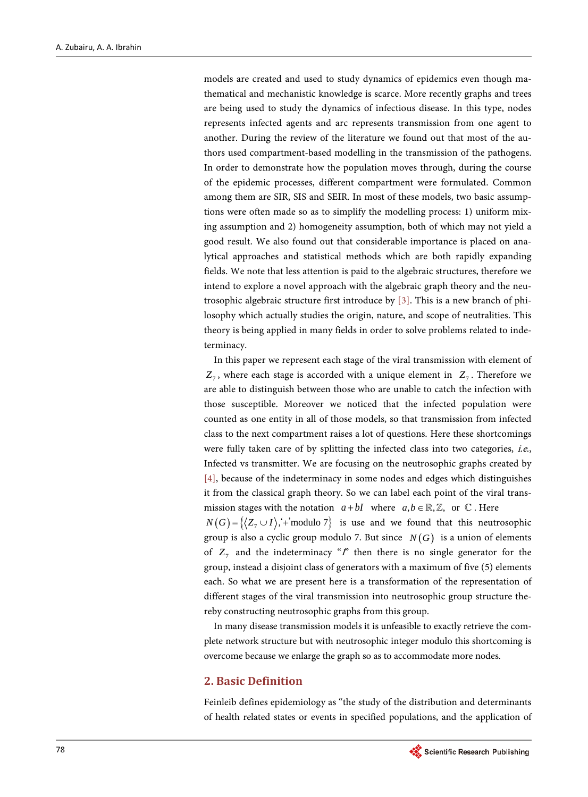models are created and used to study dynamics of epidemics even though mathematical and mechanistic knowledge is scarce. More recently graphs and trees are being used to study the dynamics of infectious disease. In this type, nodes represents infected agents and arc represents transmission from one agent to another. During the review of the literature we found out that most of the authors used compartment-based modelling in the transmission of the pathogens. In order to demonstrate how the population moves through, during the course of the epidemic processes, different compartment were formulated. Common among them are SIR, SIS and SEIR. In most of these models, two basic assumptions were often made so as to simplify the modelling process: 1) uniform mixing assumption and 2) homogeneity assumption, both of which may not yield a good result. We also found out that considerable importance is placed on analytical approaches and statistical methods which are both rapidly expanding fields. We note that less attention is paid to the algebraic structures, therefore we intend to explore a novel approach with the algebraic graph theory and the neutrosophic algebraic structure first introduce by [\[3\].](#page-9-2) This is a new branch of philosophy which actually studies the origin, nature, and scope of neutralities. This theory is being applied in many fields in order to solve problems related to indeterminacy.

In this paper we represent each stage of the viral transmission with element of  $Z_7$ , where each stage is accorded with a unique element in  $Z_7$ . Therefore we are able to distinguish between those who are unable to catch the infection with those susceptible. Moreover we noticed that the infected population were counted as one entity in all of those models, so that transmission from infected class to the next compartment raises a lot of questions. Here these shortcomings were fully taken care of by splitting the infected class into two categories, *i.e.*, Infected vs transmitter. We are focusing on the neutrosophic graphs created by [\[4\],](#page-9-3) because of the indeterminacy in some nodes and edges which distinguishes it from the classical graph theory. So we can label each point of the viral transmission stages with the notation  $a + bI$  where  $a, b \in \mathbb{R}, \mathbb{Z}$ , or  $\mathbb{C}$ . Here

 $N(G) = \{(Z_7 \cup I), '+ \text{modulo } 7\}$  is use and we found that this neutrosophic group is also a cyclic group modulo 7. But since  $N(G)$  is a union of elements of  $Z_7$  and the indeterminacy " $I$ " then there is no single generator for the group, instead a disjoint class of generators with a maximum of five (5) elements each. So what we are present here is a transformation of the representation of different stages of the viral transmission into neutrosophic group structure thereby constructing neutrosophic graphs from this group.

In many disease transmission models it is unfeasible to exactly retrieve the complete network structure but with neutrosophic integer modulo this shortcoming is overcome because we enlarge the graph so as to accommodate more nodes.

## **2. Basic Definition**

Feinleib defines epidemiology as "the study of the distribution and determinants of health related states or events in specified populations, and the application of

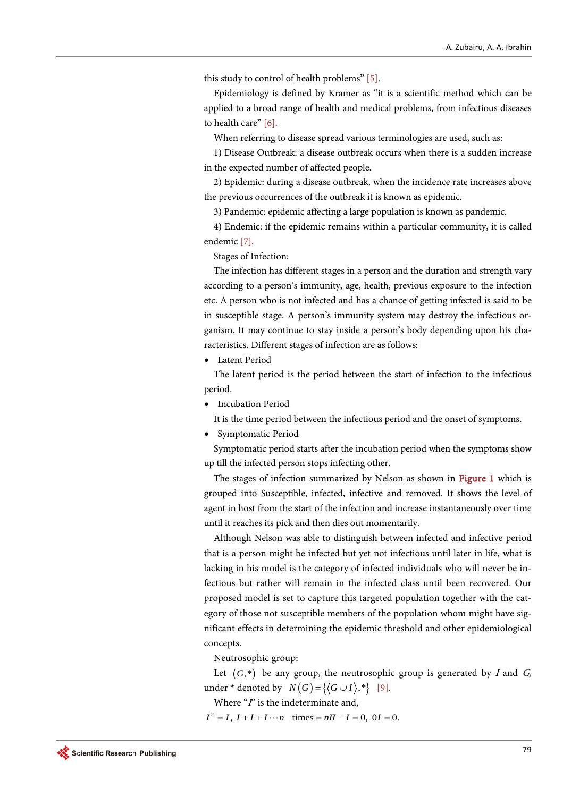this study to control of health problems" [\[5\].](#page-9-4)

Epidemiology is defined by Kramer as "it is a scientific method which can be applied to a broad range of health and medical problems, from infectious diseases to health care" [\[6\].](#page-9-5)

When referring to disease spread various terminologies are used, such as:

1) Disease Outbreak: a disease outbreak occurs when there is a sudden increase in the expected number of affected people.

2) Epidemic: during a disease outbreak, when the incidence rate increases above the previous occurrences of the outbreak it is known as epidemic.

3) Pandemic: epidemic affecting a large population is known as pandemic.

4) Endemic: if the epidemic remains within a particular community, it is called endemic [\[7\].](#page-9-6)

Stages of Infection:

The infection has different stages in a person and the duration and strength vary according to a person's immunity, age, health, previous exposure to the infection etc. A person who is not infected and has a chance of getting infected is said to be in susceptible stage. A person's immunity system may destroy the infectious organism. It may continue to stay inside a person's body depending upon his characteristics. Different stages of infection are as follows:

• Latent Period

The latent period is the period between the start of infection to the infectious period.

• Incubation Period

It is the time period between the infectious period and the onset of symptoms.

• Symptomatic Period

Symptomatic period starts after the incubation period when the symptoms show up till the infected person stops infecting other.

The stages of infection summarized by Nelson as shown in [Figure 1](#page-3-0) which is grouped into Susceptible, infected, infective and removed. It shows the level of agent in host from the start of the infection and increase instantaneously over time until it reaches its pick and then dies out momentarily.

Although Nelson was able to distinguish between infected and infective period that is a person might be infected but yet not infectious until later in life, what is lacking in his model is the category of infected individuals who will never be infectious but rather will remain in the infected class until been recovered. Our proposed model is set to capture this targeted population together with the category of those not susceptible members of the population whom might have significant effects in determining the epidemic threshold and other epidemiological concepts.

Neutrosophic group:

Let  $(G,*)$  be any group, the neutrosophic group is generated by I and G, under \* denoted by  $N(G) = \{(G \cup I), *\}$  [\[9\].](#page-9-7)

Where  $\degree$ *f*" is the indeterminate and,

 $I^2 = I$ ,  $I + I + I \cdots n$  times =  $nI - I = 0$ ,  $0I = 0$ .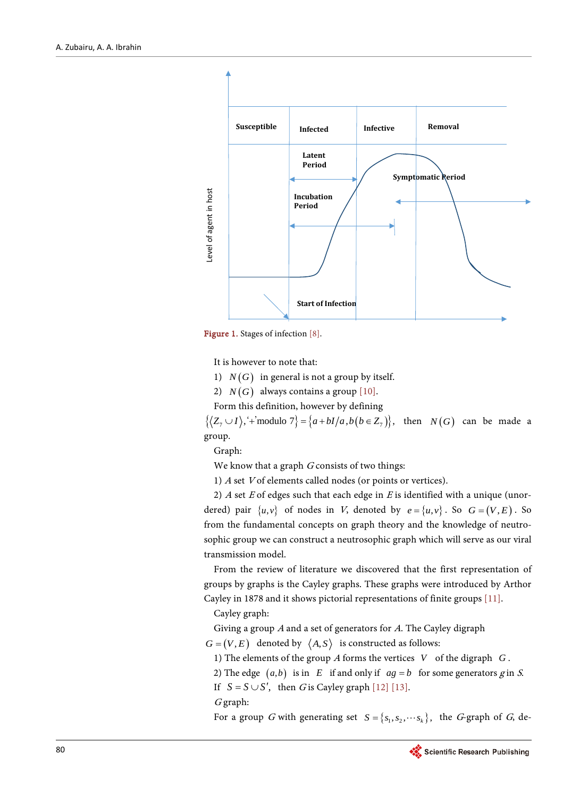<span id="page-3-0"></span>

Figure 1. Stages of infectio[n \[8\].](#page-9-8)

It is however to note that:

- 1)  $N(G)$  in general is not a group by itself.
- 2)  $N(G)$  always contains a group [\[10\].](#page-9-9)

Form this definition, however by defining

 $\{\langle Z_7 \cup I \rangle, \dot{ }^{\text{+}} \text{modulo } 7 \} = \{a + bI/a, b(b \in Z_7) \}, \text{ then } N(G) \text{ can be made a}$ group.

Graph:

We know that a graph  $G$  consists of two things:

1) <sup>A</sup> set <sup>V</sup> of elements called nodes (or points or vertices).

2)  $A$  set  $E$  of edges such that each edge in  $E$  is identified with a unique (unordered) pair  $\{u, v\}$  of nodes in V, denoted by  $e = \{u, v\}$ . So  $G = (V, E)$ . So from the fundamental concepts on graph theory and the knowledge of neutrosophic group we can construct a neutrosophic graph which will serve as our viral transmission model.

From the review of literature we discovered that the first representation of groups by graphs is the Cayley graphs. These graphs were introduced by Arthor Cayley in 1878 and it shows pictorial representations of finite group[s \[11\].](#page-9-10)

Cayley graph:

Giving a group <sup>A</sup> and a set of generators for A. The Cayley digraph

 $G = (V, E)$  denoted by  $\langle A, S \rangle$  is constructed as follows:

1) The elements of the group <sup>A</sup> forms the vertices *V* of the digraph *G* .

2) The edge  $(a,b)$  is in *E* if and only if  $ag = b$  for some generators g in *S*.

If  $S = S \cup S'$ , then G is Cayley graph [\[12\]](#page-9-11) [\[13\].](#page-9-12)

<sup>G</sup> graph:

For a group G with generating set  $S = \{s_1, s_2, \dots s_k\}$ , the G-graph of G, de-

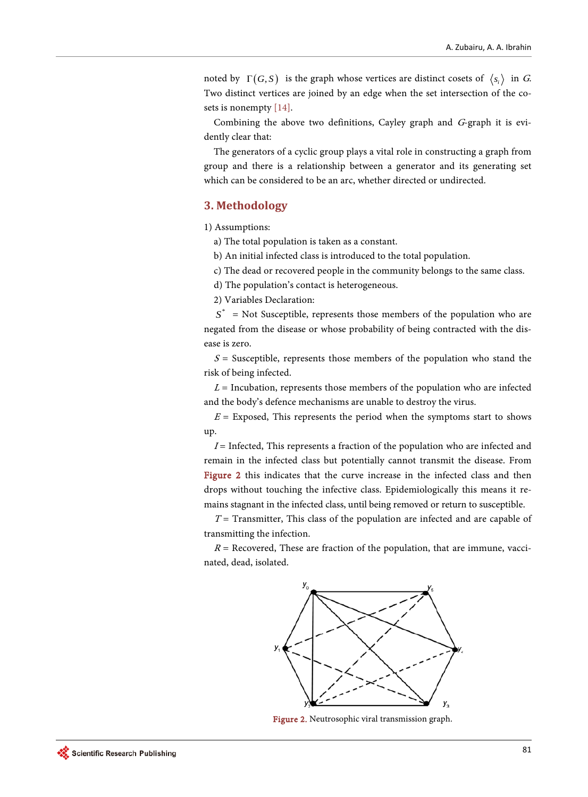noted by  $\Gamma(G, S)$  is the graph whose vertices are distinct cosets of  $\langle s_i \rangle$  in G. Two distinct vertices are joined by an edge when the set intersection of the cosets is nonempt[y \[14\].](#page-9-13)

Combining the above two definitions, Cayley graph and G-graph it is evidently clear that:

The generators of a cyclic group plays a vital role in constructing a graph from group and there is a relationship between a generator and its generating set which can be considered to be an arc, whether directed or undirected.

#### **3. Methodology**

1) Assumptions:

a) The total population is taken as a constant.

b) An initial infected class is introduced to the total population.

c) The dead or recovered people in the community belongs to the same class.

d) The population's contact is heterogeneous.

2) Variables Declaration:

 $S^*$  = Not Susceptible, represents those members of the population who are negated from the disease or whose probability of being contracted with the disease is zero.

 $S =$  Susceptible, represents those members of the population who stand the risk of being infected.

 $L =$  Incubation, represents those members of the population who are infected and the body's defence mechanisms are unable to destroy the virus.

 $E =$  Exposed, This represents the period when the symptoms start to shows up.

 $I =$  Infected, This represents a fraction of the population who are infected and remain in the infected class but potentially cannot transmit the disease. From [Figure 2](#page-4-0) this indicates that the curve increase in the infected class and then drops without touching the infective class. Epidemiologically this means it remains stagnant in the infected class, until being removed or return to susceptible.

 $T =$  Transmitter, This class of the population are infected and are capable of transmitting the infection.

<span id="page-4-0"></span> $R$  = Recovered, These are fraction of the population, that are immune, vaccinated, dead, isolated.



Figure 2. Neutrosophic viral transmission graph.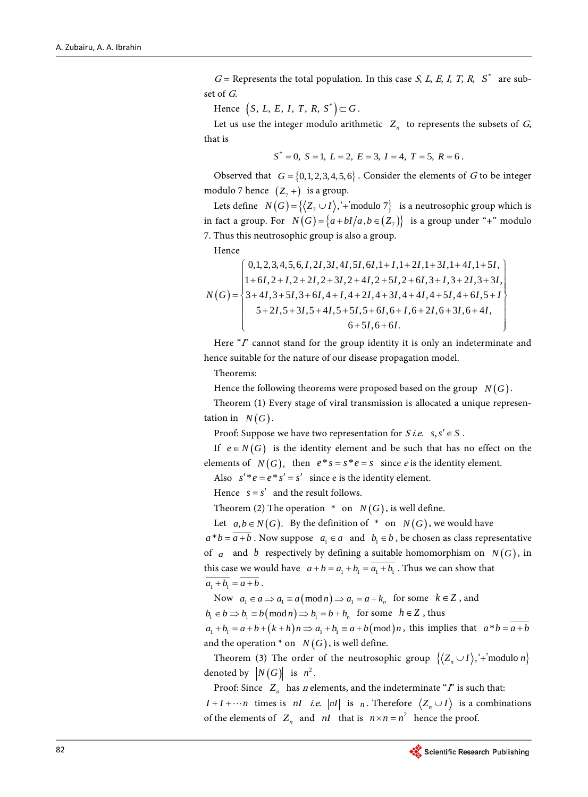$G =$  Represents the total population. In this case *S*, *L*, *E*, *I*, *T*, *R*, *S*<sup>\*</sup> are subset of G.

Hence  $(S, L, E, I, T, R, S^*) \subset G$ .

Let us use the integer modulo arithmetic  $Z_n$  to represents the subsets of  $G$ , that is

$$
S^* = 0, S = 1, L = 2, E = 3, I = 4, T = 5, R = 6.
$$

Observed that  $G = \{0, 1, 2, 3, 4, 5, 6\}$ . Consider the elements of G to be integer modulo 7 hence  $(Z_7 +)$  is a group.

Lets define  $N(G) = \{(Z_1 \cup I), '+\text{modulo } 7\}$  is a neutrosophic group which is in fact a group. For  $N(G) = \{a + bI/a, b \in (Z_7)\}$  is a group under "+" modulo 7. Thus this neutrosophic group is also a group.

Hence

$$
N(G) = \begin{cases} 0,1,2,3,4,5,6,1,2I,3I,4I,5I,6I,1+I,1+2I,1+3I,1+4I,1+5I, \\ 1+6I,2+I,2+2I,2+3I,2+4I,2+5I,2+6I,3+I,3+2I,3+3I, \\ 3+4I,3+5I,3+6I,4+I,4+2I,4+3I,4+4I,4+5I,4+6I,5+I \\ 5+2I,5+3I,5+4I,5+5I,5+6I,6+I,6+2I,6+3I,6+4I, \\ 6+5I,6+6I. \end{cases}
$$

Here " $\mathbf{r}$ " cannot stand for the group identity it is only an indeterminate and hence suitable for the nature of our disease propagation model.

Theorems:

Hence the following theorems were proposed based on the group  $N(G)$ .

Theorem (1) Every stage of viral transmission is allocated a unique representation in  $N(G)$ .

Proof: Suppose we have two representation for  $S$  *i.e.*  $s, s' \in S$ .

If  $e \in N(G)$  is the identity element and be such that has no effect on the elements of  $N(G)$ , then  $e^*s = s^*e = s$  since *e* is the identity element. Also  $s' * e = e * s' = s'$  since e is the identity element.

Hence  $s = s'$  and the result follows.

Theorem (2) The operation  $*$  on  $N(G)$ , is well define.

Let  $a, b \in N(G)$ . By the definition of \* on *N*(*G*), we would have

 $a^*b = a + b$ . Now suppose  $a_1 \in a$  and  $b_1 \in b$ , be chosen as class representative of *a* and *b* respectively by defining a suitable homomorphism on  $N(G)$ , in this case we would have  $a+b = a_1 + b_1 = a_1 + b_1$ . Thus we can show that  $\overline{a_1 + b_1} = \overline{a + b}$ .

Now  $a_1 \in a \Rightarrow a_1 \equiv a \pmod{n} \Rightarrow a_1 = a + k_n$  for some  $k \in \mathbb{Z}$ , and

 $b_1 \in b \Rightarrow b_1 \equiv b \pmod{n} \Rightarrow b_1 = b + h_n$  for some  $h \in \mathbb{Z}$ , thus

 $a_1 + b_1 = a + b + (k + h)n \Rightarrow a_1 + b_1 = a + b \pmod{n}$ , this implies that  $a * b = a + b$ and the operation  $*$  on *N*(*G*), is well define.

Theorem (3) The order of the neutrosophic group  $\{\langle Z_n \cup I \rangle, \div \text{modulo } n\}$ denoted by  $|N(G)|$  is  $n^2$ .

Proof: Since  $Z_n$  has *n* elements, and the indeterminate "*I*" is such that:

*I* + *I* +  $\cdots$ *n* times is *nI i.e. |nI* | is *n*. Therefore  $\langle Z_n \cup I \rangle$  is a combinations of the elements of  $Z_n$  and  $nI$  that is  $n \times n = n^2$  hence the proof.

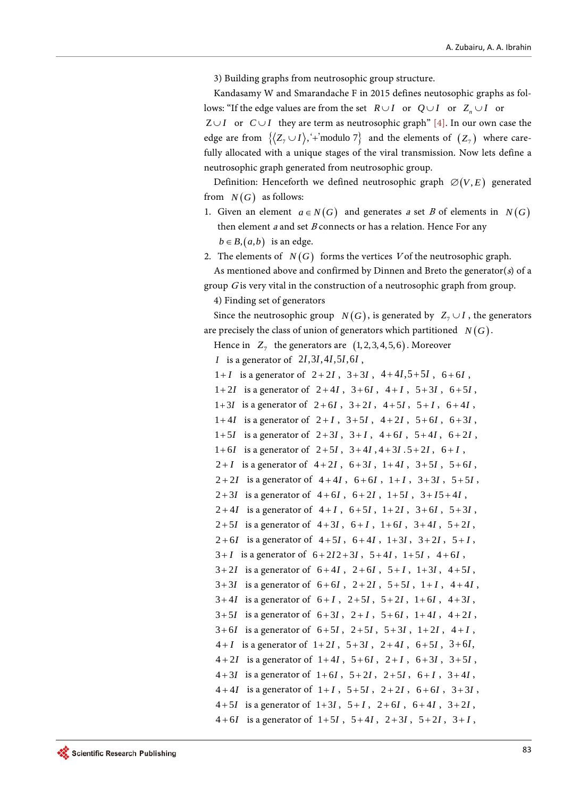3) Building graphs from neutrosophic group structure.

Kandasamy W and Smarandache F in 2015 defines neutosophic graphs as follows: "If the edge values are from the set  $R \cup I$  or  $Q \cup I$  or  $Z_n \cup I$  or  $Z \cup I$  or  $C \cup I$  they are term as neutrosophic graph" [\[4\].](#page-9-3) In our own case the edge are from  $\{\langle Z_7 \cup I \rangle, \div \text{modulo } 7 \}$  and the elements of  $(Z_7)$  where carefully allocated with a unique stages of the viral transmission. Now lets define a neutrosophic graph generated from neutrosophic group.

Definition: Henceforth we defined neutrosophic graph  $\varnothing(V,E)$  generated from  $N(G)$  as follows:

- 1. Given an element  $a \in N(G)$  and generates a set B of elements in  $N(G)$ then element  $a$  and set  $B$  connects or has a relation. Hence For any  $b \in B$ ,  $(a,b)$  is an edge.
- 2. The elements of  $N(G)$  forms the vertices V of the neutrosophic graph.

```
As mentioned above and confirmed by Dinnen and Breto the generator(s) of a
group G is very vital in the construction of a neutrosophic graph from group.
```
4) Finding set of generators

Since the neutrosophic group *N(G)*, is generated by  $Z_7 \cup I$ , the generators are precisely the class of union of generators which partitioned  $N(G)$ .

- Hence in  $Z_7$  the generators are  $(1, 2, 3, 4, 5, 6)$ . Moreover
- *I* is a generator of 2*I*, 3*I*, 4*I*, 5*I*, 6*I*,

 $1+I$  is a generator of  $2+2I$ ,  $3+3I$ ,  $4+4I$ ,  $5+5I$ ,  $6+6I$ ,

- $1+2I$  is a generator of  $2+4I$ ,  $3+6I$ ,  $4+I$ ,  $5+3I$ ,  $6+5I$ ,
- $1+3I$  is a generator of  $2+6I$ ,  $3+2I$ ,  $4+5I$ ,  $5+I$ ,  $6+4I$ ,
- $1+4I$  is a generator of  $2+I$ ,  $3+5I$ ,  $4+2I$ ,  $5+6I$ ,  $6+3I$ ,
- $1+5I$  is a generator of  $2+3I$ ,  $3+I$ ,  $4+6I$ ,  $5+4I$ ,  $6+2I$ ,
- $1+6I$  is a generator of  $2+5I$ ,  $3+4I$ ,  $4+3I$ .  $5+2I$ ,  $6+I$ ,
- $2+I$  is a generator of  $4+2I$ ,  $6+3I$ ,  $1+4I$ ,  $3+5I$ ,  $5+6I$ ,
- $2+2I$  is a generator of  $4+4I$ ,  $6+6I$ ,  $1+I$ ,  $3+3I$ ,  $5+5I$ ,
- $2+3I$  is a generator of  $4+6I$ ,  $6+2I$ ,  $1+5I$ ,  $3+I5+4I$ ,
- $2+4I$  is a generator of  $4+I$ ,  $6+5I$ ,  $1+2I$ ,  $3+6I$ ,  $5+3I$ ,
- $2+5I$  is a generator of  $4+3I$ ,  $6+I$ ,  $1+6I$ ,  $3+4I$ ,  $5+2I$ ,
- $2+6I$  is a generator of  $4+5I$ ,  $6+4I$ ,  $1+3I$ ,  $3+2I$ ,  $5+I$ ,
- $3+I$  is a generator of  $6+2I2+3I$ ,  $5+4I$ ,  $1+5I$ ,  $4+6I$ ,  $3+2I$  is a generator of  $6+4I$ ,  $2+6I$ ,  $5+I$ ,  $1+3I$ ,  $4+5I$ ,
- $3+3I$  is a generator of  $6+6I$ ,  $2+2I$ ,  $5+5I$ ,  $1+I$ ,  $4+4I$ ,
- $3 + 4I$  is a generator of  $6 + I$ ,  $2 + 5I$ ,  $5 + 2I$ ,  $1 + 6I$ ,  $4 + 3I$ ,
- 
- $3+5I$  is a generator of  $6+3I$ ,  $2+I$ ,  $5+6I$ ,  $1+4I$ ,  $4+2I$ ,
- $3 + 6I$  is a generator of  $6 + 5I$ ,  $2 + 5I$ ,  $5 + 3I$ ,  $1 + 2I$ ,  $4 + I$ ,
- $4 + I$  is a generator of  $1 + 2I$ ,  $5 + 3I$ ,  $2 + 4I$ ,  $6 + 5I$ ,  $3 + 6I$ ,
- $4 + 2I$  is a generator of  $1 + 4I$ ,  $5 + 6I$ ,  $2 + I$ ,  $6 + 3I$ ,  $3 + 5I$ ,
- $4+3I$  is a generator of  $1+6I$ ,  $5+2I$ ,  $2+5I$ ,  $6+I$ ,  $3+4I$ ,
- $4 + 4I$  is a generator of  $1 + I$ ,  $5 + 5I$ ,  $2 + 2I$ ,  $6 + 6I$ ,  $3 + 3I$ ,
- $4+5I$  is a generator of  $1+3I$ ,  $5+I$ ,  $2+6I$ ,  $6+4I$ ,  $3+2I$ ,  $4 + 6I$  is a generator of  $1 + 5I$ ,  $5 + 4I$ ,  $2 + 3I$ ,  $5 + 2I$ ,  $3 + I$ ,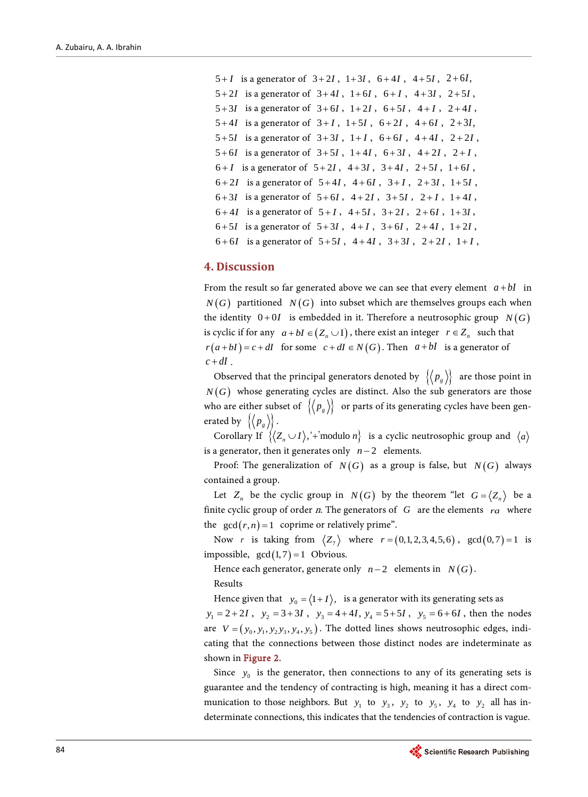```
5 + I is a generator of 3 + 2I, 1 + 3I, 6 + 4I, 4 + 5I, 2 + 6I,
5 + 2I is a generator of 3 + 4I, 1 + 6I, 6 + I, 4 + 3I, 2 + 5I,
5 + 3I is a generator of 3 + 6I, 1 + 2I, 6 + 5I, 4 + I, 2 + 4I,
5 + 4I is a generator of 3 + I, 1 + 5I, 6 + 2I, 4 + 6I, 2 + 3I,
5 + 5I is a generator of 3 + 3I, 1 + I, 6 + 6I, 4 + 4I, 2 + 2I,
5 + 6I is a generator of 3 + 5I, 1 + 4I, 6 + 3I, 4 + 2I, 2 + I,
6 + I is a generator of 5 + 2I, 4 + 3I, 3 + 4I, 2 + 5I, 1 + 6I,
6 + 2I is a generator of 5 + 4I, 4 + 6I, 3 + I, 2 + 3I, 1 + 5I,
6+3I is a generator of 5+6I, 4+2I, 3+5I, 2+I, 1+4I,
6 + 4I is a generator of 5 + I, 4 + 5I, 3 + 2I, 2 + 6I, 1 + 3I,
6+5I is a generator of 5+3I, 4+I, 3+6I, 2+4I, 1+2I,
6+6I is a generator of 5+5I, 4+4I, 3+3I, 2+2I, 1+I,
```
## **4. Discussion**

From the result so far generated above we can see that every element  $a + bI$  in  $N(G)$  partitioned  $N(G)$  into subset which are themselves groups each when the identity  $0+0I$  is embedded in it. Therefore a neutrosophic group  $N(G)$ is cyclic if for any  $a + bI \in (Z_n \cup I)$ , there exist an integer  $r \in Z_n$  such that  $r(a + bI) = c + dI$  for some  $c + dI \in N(G)$ . Then  $a + bI$  is a generator of  $c + dI$ .

Observed that the principal generators denoted by  $\{p_g\}$  are those point in  $N(G)$  whose generating cycles are distinct. Also the sub generators are those who are either subset of  $\{p_{g}\}\$  or parts of its generating cycles have been generated by  $\{\langle p_{g} \rangle\}$ .

Corollary If  $\{\langle Z_n \cup I \rangle, \div \text{modulo } n\}$  is a cyclic neutrosophic group and  $\langle a \rangle$ is a generator, then it generates only *n* − 2 elements.

Proof: The generalization of  $N(G)$  as a group is false, but  $N(G)$  always contained a group.

Let  $Z_n$  be the cyclic group in  $N(G)$  by the theorem "let  $G = \langle Z_n \rangle$  be a finite cyclic group of order n. The generators of *G* are the elements *ra* where the  $gcd(r, n) = 1$  coprime or relatively prime".

Now *r* is taking from  $\langle Z_7 \rangle$  where  $r = (0,1,2,3,4,5,6)$ ,  $\gcd(0,7) = 1$  is impossible,  $gcd(1,7) = 1$  Obvious.

Hence each generator, generate only  $n-2$  elements in  $N(G)$ . Results

Hence given that  $y_0 = \langle 1 + I \rangle$ , is a generator with its generating sets as

 $y_1 = 2 + 2I$ ,  $y_2 = 3 + 3I$ ,  $y_3 = 4 + 4I$ ,  $y_4 = 5 + 5I$ ,  $y_5 = 6 + 6I$ , then the nodes are  $V = (y_0, y_1, y_2y_3, y_4, y_5)$ . The dotted lines shows neutrosophic edges, indicating that the connections between those distinct nodes are indeterminate as shown in [Figure 2.](#page-4-0)

Since  $y_0$  is the generator, then connections to any of its generating sets is guarantee and the tendency of contracting is high, meaning it has a direct communication to those neighbors. But  $y_1$  to  $y_3$ ,  $y_2$  to  $y_5$ ,  $y_4$  to  $y_2$  all has indeterminate connections, this indicates that the tendencies of contraction is vague.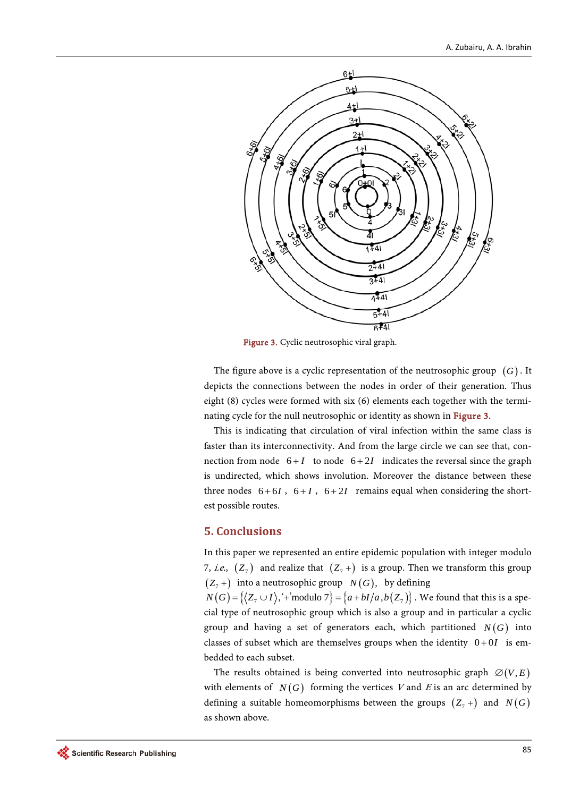<span id="page-8-0"></span>

Figure 3. Cyclic neutrosophic viral graph.

The figure above is a cyclic representation of the neutrosophic group (*G*) . It depicts the connections between the nodes in order of their generation. Thus eight (8) cycles were formed with six (6) elements each together with the terminating cycle for the null neutrosophic or identity as shown in [Figure 3.](#page-8-0)

This is indicating that circulation of viral infection within the same class is faster than its interconnectivity. And from the large circle we can see that, connection from node  $6+I$  to node  $6+2I$  indicates the reversal since the graph is undirected, which shows involution. Moreover the distance between these three nodes  $6+6I$ ,  $6+I$ ,  $6+2I$  remains equal when considering the shortest possible routes.

#### **5. Conclusions**

In this paper we represented an entire epidemic population with integer modulo 7, *i.e.*,  $(Z_7)$  and realize that  $(Z_7 +)$  is a group. Then we transform this group  $(Z_7 +)$  into a neutrosophic group  $N(G)$ , by defining

 $N(G) = \{ \langle Z_7 \cup I \rangle, \langle Y \rangle \}$  we found that this is a special type of neutrosophic group which is also a group and in particular a cyclic group and having a set of generators each, which partitioned  $N(G)$  into classes of subset which are themselves groups when the identity  $0+0I$  is embedded to each subset.

The results obtained is being converted into neutrosophic graph  $\varnothing(V,E)$ with elements of  $N(G)$  forming the vertices V and E is an arc determined by defining a suitable homeomorphisms between the groups  $(Z_7 +)$  and  $N(G)$ as shown above.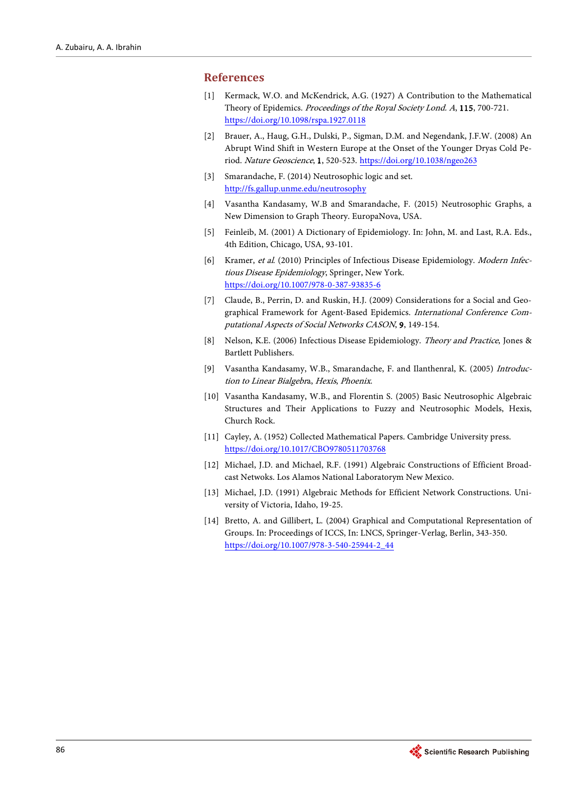#### <span id="page-9-0"></span>**References**

- [1] Kermack, W.O. and McKendrick, A.G. (1927) A Contribution to the Mathematical Theory of Epidemics. Proceedings of the Royal Society Lond. A, 115, 700-721. <https://doi.org/10.1098/rspa.1927.0118>
- <span id="page-9-1"></span>[2] Brauer, A., Haug, G.H., Dulski, P., Sigman, D.M. and Negendank, J.F.W. (2008) An Abrupt Wind Shift in Western Europe at the Onset of the Younger Dryas Cold Period. Nature Geoscience, 1, 520-523. <https://doi.org/10.1038/ngeo263>
- <span id="page-9-2"></span>[3] Smarandache, F. (2014) Neutrosophic logic and set. <http://fs.gallup.unme.edu/neutrosophy>
- <span id="page-9-3"></span>[4] Vasantha Kandasamy, W.B and Smarandache, F. (2015) Neutrosophic Graphs, a New Dimension to Graph Theory. EuropaNova, USA.
- <span id="page-9-4"></span>[5] Feinleib, M. (2001) A Dictionary of Epidemiology. In: John, M. and Last, R.A. Eds., 4th Edition, Chicago, USA, 93-101.
- <span id="page-9-5"></span>[6] Kramer, et al. (2010) Principles of Infectious Disease Epidemiology. Modern Infectious Disease Epidemiology, Springer, New York. <https://doi.org/10.1007/978-0-387-93835-6>
- <span id="page-9-6"></span>[7] Claude, B., Perrin, D. and Ruskin, H.J. (2009) Considerations for a Social and Geographical Framework for Agent-Based Epidemics. International Conference Computational Aspects of Social Networks CASON, 9, 149-154.
- <span id="page-9-8"></span>[8] Nelson, K.E. (2006) Infectious Disease Epidemiology. Theory and Practice, Jones & Bartlett Publishers.
- <span id="page-9-7"></span>[9] Vasantha Kandasamy, W.B., Smarandache, F. and Ilanthenral, K. (2005) Introduction to Linear Bialgebra, Hexis, Phoenix.
- <span id="page-9-9"></span>[10] Vasantha Kandasamy, W.B., and Florentin S. (2005) Basic Neutrosophic Algebraic Structures and Their Applications to Fuzzy and Neutrosophic Models, Hexis, Church Rock.
- <span id="page-9-10"></span>[11] Cayley, A. (1952) Collected Mathematical Papers. Cambridge University press. <https://doi.org/10.1017/CBO9780511703768>
- <span id="page-9-11"></span>[12] Michael, J.D. and Michael, R.F. (1991) Algebraic Constructions of Efficient Broadcast Netwoks. Los Alamos National Laboratorym New Mexico.
- <span id="page-9-12"></span>[13] Michael, J.D. (1991) Algebraic Methods for Efficient Network Constructions. University of Victoria, Idaho, 19-25.
- <span id="page-9-13"></span>[14] Bretto, A. and Gillibert, L. (2004) Graphical and Computational Representation of Groups. In: Proceedings of ICCS, In: LNCS, Springer-Verlag, Berlin, 343-350. [https://doi.org/10.1007/978-3-540-25944-2\\_44](https://doi.org/10.1007/978-3-540-25944-2_44)